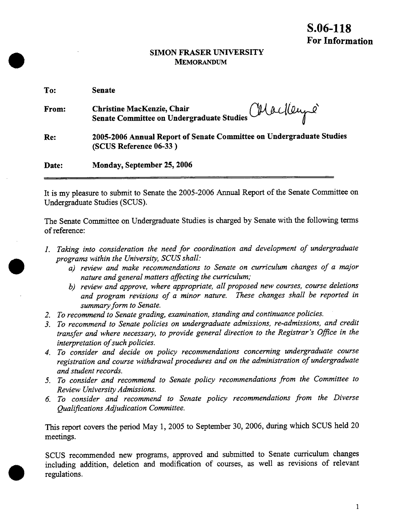### **SIMON FRASER UNIVERSITY MEMORANDUM**

**fl'** 

**r**

**.**

| To:   | <b>Senate</b>                                                                                  |
|-------|------------------------------------------------------------------------------------------------|
| From: | Christine MacKenzie, Chair<br>Senate Committee on Undergraduate Studies Ulaclleupe             |
| Re:   | 2005-2006 Annual Report of Senate Committee on Undergraduate Studies<br>(SCUS Reference 06-33) |
| Date: | Monday, September 25, 2006                                                                     |

It is my pleasure to submit to Senate the 2005-2006 Annual Report of the Senate Committee on Undergraduate Studies (SCUS).

The Senate Committee on Undergraduate Studies is charged by Senate with the following terms of reference:

- *1. Taking into consideration the need for coordination and development of undergraduate programs within the University, SCUS shall:* 
	- *a) review and make recommendations to Senate on curriculum changes of a major nature and general matters affecting the curriculum;*
	- *b) review and approve, where appropriate, all proposed new courses, course deletions and program revisions of a minor nature. These changes shall be reported in summary form to Senate.*
- *2. To recommend to Senate grading, examination, standing and continuance policies.*
- *3. To recommend to Senate policies on undergraduate admissions, re-admissions, and credit transfer and where necessary, to provide general direction to the Registrar's Office in the interpretation of such policies.*
- *4. To consider and decide on policy recommendations concerning undergraduate course registration and course withdrawal procedures and on the administration of undergraduate and student records.*
- *5. To consider and recommend to Senate policy recommendations from the Committee to Review University Admissions.*
- *6. To consider and recommend to Senate policy recommendations from the Diverse Qualifications Adjudication Committee.*

This report covers the period May 1, 2005 to September 30, 2006, during which SCUS held 20 meetings.

SCUS recommended new programs, approved and submitted to Senate curriculum changes including addition, deletion and modification of courses, as well as revisions of relevant regulations.